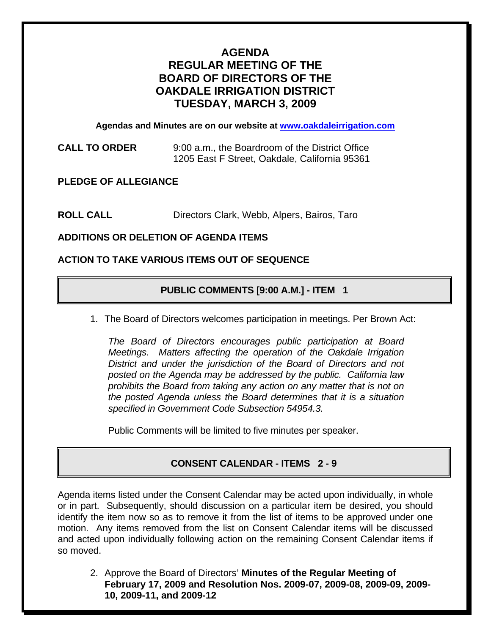# **AGENDA REGULAR MEETING OF THE BOARD OF DIRECTORS OF THE OAKDALE IRRIGATION DISTRICT TUESDAY, MARCH 3, 2009**

**Agendas and Minutes are on our website at [www.oakdaleirrigation.com](http://www.oakdaleirrigation.com/)**

**CALL TO ORDER** 9:00 a.m., the Boardroom of the District Office 1205 East F Street, Oakdale, California 95361

**PLEDGE OF ALLEGIANCE** 

**ROLL CALL** Directors Clark, Webb, Alpers, Bairos, Taro

**ADDITIONS OR DELETION OF AGENDA ITEMS** 

## **ACTION TO TAKE VARIOUS ITEMS OUT OF SEQUENCE**

# **PUBLIC COMMENTS [9:00 A.M.] - ITEM 1**

1. The Board of Directors welcomes participation in meetings. Per Brown Act:

*The Board of Directors encourages public participation at Board Meetings. Matters affecting the operation of the Oakdale Irrigation District and under the jurisdiction of the Board of Directors and not posted on the Agenda may be addressed by the public. California law prohibits the Board from taking any action on any matter that is not on the posted Agenda unless the Board determines that it is a situation specified in Government Code Subsection 54954.3.*

Public Comments will be limited to five minutes per speaker.

## **CONSENT CALENDAR - ITEMS 2 - 9**

Agenda items listed under the Consent Calendar may be acted upon individually, in whole or in part. Subsequently, should discussion on a particular item be desired, you should identify the item now so as to remove it from the list of items to be approved under one motion. Any items removed from the list on Consent Calendar items will be discussed and acted upon individually following action on the remaining Consent Calendar items if so moved.

2. Approve the Board of Directors' **Minutes of the Regular Meeting of February 17, 2009 and Resolution Nos. 2009-07, 2009-08, 2009-09, 2009- 10, 2009-11, and 2009-12**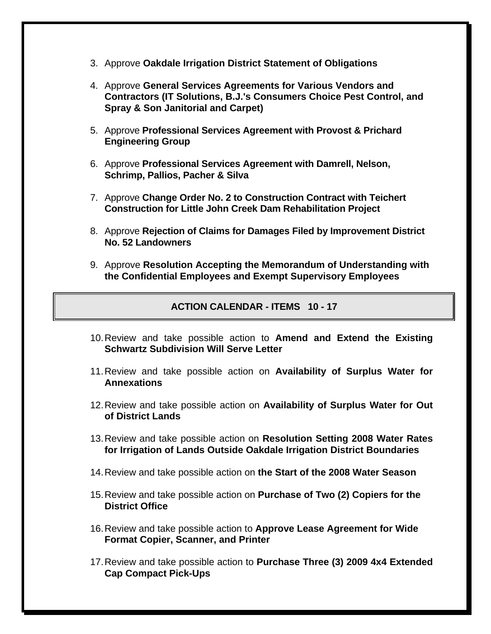- 3. Approve **Oakdale Irrigation District Statement of Obligations**
- 4. Approve **General Services Agreements for Various Vendors and Contractors (IT Solutions, B.J.'s Consumers Choice Pest Control, and Spray & Son Janitorial and Carpet)**
- 5. Approve **Professional Services Agreement with Provost & Prichard Engineering Group**
- 6. Approve **Professional Services Agreement with Damrell, Nelson, Schrimp, Pallios, Pacher & Silva**
- 7. Approve **Change Order No. 2 to Construction Contract with Teichert Construction for Little John Creek Dam Rehabilitation Project**
- 8. Approve **Rejection of Claims for Damages Filed by Improvement District No. 52 Landowners**
- 9. Approve **Resolution Accepting the Memorandum of Understanding with the Confidential Employees and Exempt Supervisory Employees**

### **ACTION CALENDAR - ITEMS 10 - 17**

- 10. Review and take possible action to **Amend and Extend the Existing Schwartz Subdivision Will Serve Letter**
- 11. Review and take possible action on **Availability of Surplus Water for Annexations**
- 12. Review and take possible action on **Availability of Surplus Water for Out of District Lands**
- 13. Review and take possible action on **Resolution Setting 2008 Water Rates for Irrigation of Lands Outside Oakdale Irrigation District Boundaries**
- 14. Review and take possible action on **the Start of the 2008 Water Season**
- 15. Review and take possible action on **Purchase of Two (2) Copiers for the District Office**
- 16. Review and take possible action to **Approve Lease Agreement for Wide Format Copier, Scanner, and Printer**
- 17. Review and take possible action to **Purchase Three (3) 2009 4x4 Extended Cap Compact Pick-Ups**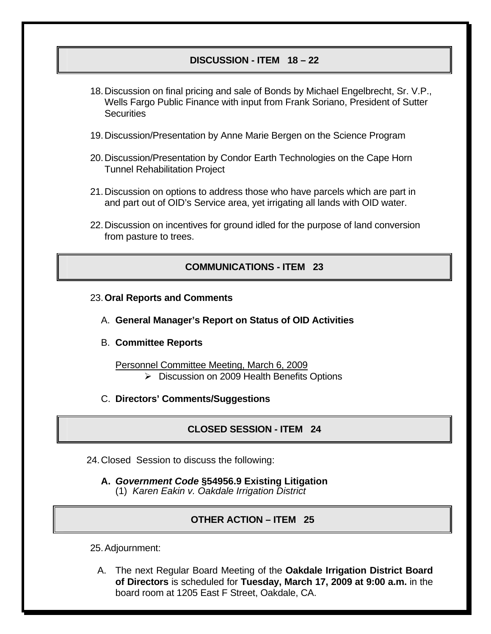### **DISCUSSION - ITEM 18 – 22**

- 18. Discussion on final pricing and sale of Bonds by Michael Engelbrecht, Sr. V.P., Wells Fargo Public Finance with input from Frank Soriano, President of Sutter **Securities**
- 19. Discussion/Presentation by Anne Marie Bergen on the Science Program
- 20. Discussion/Presentation by Condor Earth Technologies on the Cape Horn Tunnel Rehabilitation Project
- 21. Discussion on options to address those who have parcels which are part in and part out of OID's Service area, yet irrigating all lands with OID water.
- 22. Discussion on incentives for ground idled for the purpose of land conversion from pasture to trees.

#### **COMMUNICATIONS - ITEM 23**

- 23.**Oral Reports and Comments**
	- A. **General Manager's Report on Status of OID Activities**
	- B. **Committee Reports**
		- Personnel Committee Meeting, March 6, 2009 ¾ Discussion on 2009 Health Benefits Options
	- C. **Directors' Comments/Suggestions**

#### **CLOSED SESSION - ITEM 24**

24. Closed Session to discuss the following:

**A.** *Government Code* **§54956.9 Existing Litigation** (1) *Karen Eakin v. Oakdale Irrigation District* 

#### **OTHER ACTION – ITEM 25**

25. Adjournment:

A. The next Regular Board Meeting of the **Oakdale Irrigation District Board of Directors** is scheduled for **Tuesday, March 17, 2009 at 9:00 a.m.** in the board room at 1205 East F Street, Oakdale, CA.